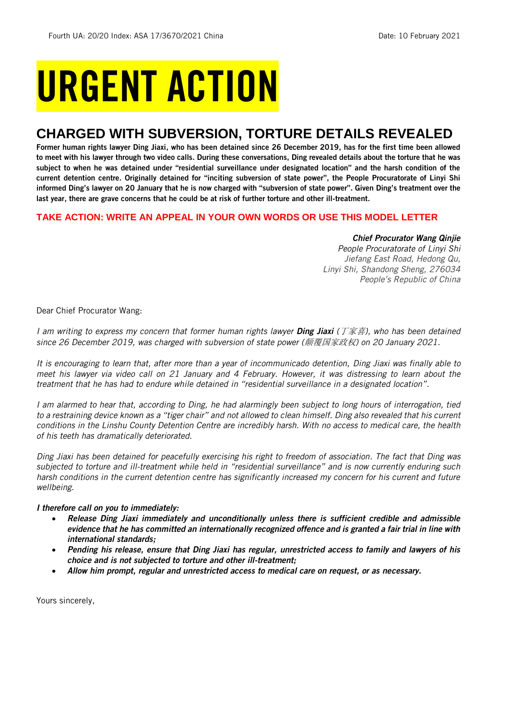# URGENT ACTION

## **CHARGED WITH SUBVERSION, TORTURE DETAILS REVEALED**

Former human rights lawyer Ding Jiaxi, who has been detained since 26 December 2019, has for the first time been allowed to meet with his lawyer through two video calls. During these conversations, Ding revealed details about the torture that he was subject to when he was detained under "residential surveillance under designated location" and the harsh condition of the current detention centre. Originally detained for "inciting subversion of state power", the People Procuratorate of Linyi Shi informed Ding's lawyer on 20 January that he is now charged with "subversion of state power". Given Ding's treatment over the last year, there are grave concerns that he could be at risk of further torture and other ill-treatment.

#### **TAKE ACTION: WRITE AN APPEAL IN YOUR OWN WORDS OR USE THIS MODEL LETTER**

#### *Chief Procurator Wang Qinjie*

*People Procuratorate of Linyi Shi Jiefang East Road, Hedong Qu, Linyi Shi, Shandong Sheng, 276034 People's Republic of China*

Dear Chief Procurator Wang:

*I am writing to express my concern that former human rights lawyer Ding Jiaxi (*丁家喜*), who has been detained since 26 December 2019, was charged with subversion of state power (*颠覆国家政权*) on 20 January 2021.* 

*It is encouraging to learn that, after more than a year of incommunicado detention, Ding Jiaxi was finally able to meet his lawyer via video call on 21 January and 4 February. However, it was distressing to learn about the treatment that he has had to endure while detained in "residential surveillance in a designated location".* 

*I am alarmed to hear that, according to Ding, he had alarmingly been subject to long hours of interrogation, tied to a restraining device known as a "tiger chair" and not allowed to clean himself. Ding also revealed that his current conditions in the Linshu County Detention Centre are incredibly harsh. With no access to medical care, the health of his teeth has dramatically deteriorated.* 

*Ding Jiaxi has been detained for peacefully exercising his right to freedom of association. The fact that Ding was subjected to torture and ill-treatment while held in "residential surveillance" and is now currently enduring such harsh conditions in the current detention centre has significantly increased my concern for his current and future wellbeing.* 

#### *I therefore call on you to immediately:*

- *Release Ding Jiaxi immediately and unconditionally unless there is sufficient credible and admissible evidence that he has committed an internationally recognized offence and is granted a fair trial in line with international standards;*
- *Pending his release, ensure that Ding Jiaxi has regular, unrestricted access to family and lawyers of his choice and is not subjected to torture and other ill-treatment;*
- *Allow him prompt, regular and unrestricted access to medical care on request, or as necessary.*

Yours sincerely,